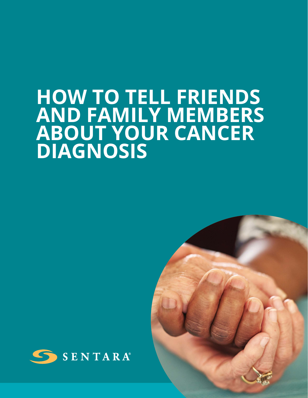# **HOW TO TELL FRIENDS AND FAMILY MEMBERS ABOUT YOUR CANCER DIAGNOSIS**



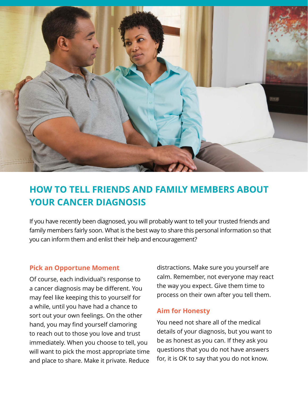

# **HOW TO TELL FRIENDS AND FAMILY MEMBERS ABOUT YOUR CANCER DIAGNOSIS**

If you have recently been diagnosed, you will probably want to tell your trusted friends and family members fairly soon. What is the best way to share this personal information so that you can inform them and enlist their help and encouragement?

#### **Pick an Opportune Moment**

Of course, each individual's response to a cancer diagnosis may be different. You may feel like keeping this to yourself for a while, until you have had a chance to sort out your own feelings. On the other hand, you may find yourself clamoring to reach out to those you love and trust immediately. When you choose to tell, you will want to pick the most appropriate time and place to share. Make it private. Reduce

distractions. Make sure you yourself are calm. Remember, not everyone may react the way you expect. Give them time to process on their own after you tell them.

#### **Aim for Honesty**

You need not share all of the medical details of your diagnosis, but you want to be as honest as you can. If they ask you questions that you do not have answers for, it is OK to say that you do not know.